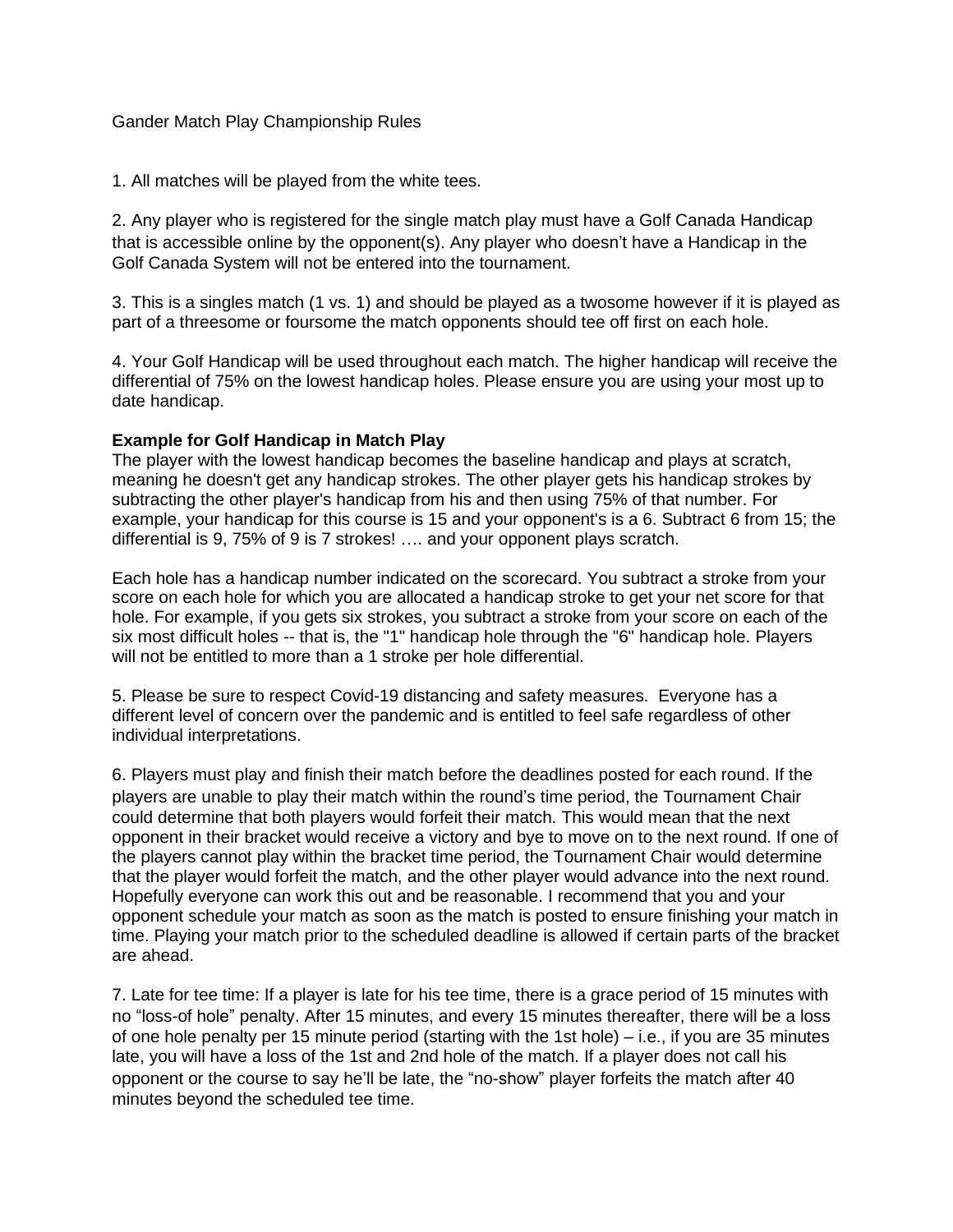## Gander Match Play Championship Rules

1. All matches will be played from the white tees.

2. Any player who is registered for the single match play must have a Golf Canada Handicap that is accessible online by the opponent(s). Any player who doesn't have a Handicap in the Golf Canada System will not be entered into the tournament.

3. This is a singles match (1 vs. 1) and should be played as a twosome however if it is played as part of a threesome or foursome the match opponents should tee off first on each hole.

4. Your Golf Handicap will be used throughout each match. The higher handicap will receive the differential of 75% on the lowest handicap holes. Please ensure you are using your most up to date handicap.

## **Example for Golf Handicap in Match Play**

The player with the lowest handicap becomes the baseline handicap and plays at scratch, meaning he doesn't get any handicap strokes. The other player gets his handicap strokes by subtracting the other player's handicap from his and then using 75% of that number. For example, your handicap for this course is 15 and your opponent's is a 6. Subtract 6 from 15; the differential is 9, 75% of 9 is 7 strokes! …. and your opponent plays scratch.

Each hole has a handicap number indicated on the scorecard. You subtract a stroke from your score on each hole for which you are allocated a handicap stroke to get your net score for that hole. For example, if you gets six strokes, you subtract a stroke from your score on each of the six most difficult holes -- that is, the "1" handicap hole through the "6" handicap hole. Players will not be entitled to more than a 1 stroke per hole differential.

5. Please be sure to respect Covid-19 distancing and safety measures. Everyone has a different level of concern over the pandemic and is entitled to feel safe regardless of other individual interpretations.

6. Players must play and finish their match before the deadlines posted for each round. If the players are unable to play their match within the round's time period, the Tournament Chair could determine that both players would forfeit their match. This would mean that the next opponent in their bracket would receive a victory and bye to move on to the next round. If one of the players cannot play within the bracket time period, the Tournament Chair would determine that the player would forfeit the match, and the other player would advance into the next round. Hopefully everyone can work this out and be reasonable. I recommend that you and your opponent schedule your match as soon as the match is posted to ensure finishing your match in time. Playing your match prior to the scheduled deadline is allowed if certain parts of the bracket are ahead.

7. Late for tee time: If a player is late for his tee time, there is a grace period of 15 minutes with no "loss-of hole" penalty. After 15 minutes, and every 15 minutes thereafter, there will be a loss of one hole penalty per 15 minute period (starting with the 1st hole) – i.e., if you are 35 minutes late, you will have a loss of the 1st and 2nd hole of the match. If a player does not call his opponent or the course to say he'll be late, the "no-show" player forfeits the match after 40 minutes beyond the scheduled tee time.